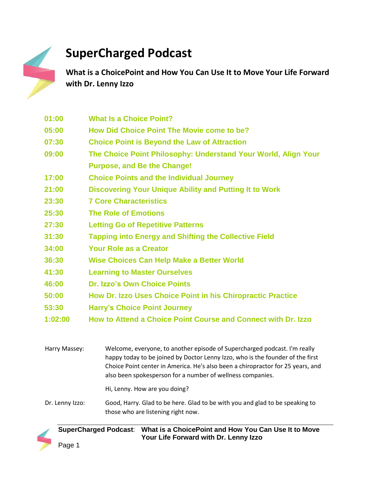

## **SuperCharged Podcast**

**What is a ChoicePoint and How You Can Use It to Move Your Life Forward with Dr. Lenny Izzo**

| 01:00 | <b>What Is a Choice Point?</b>                                 |
|-------|----------------------------------------------------------------|
| 05:00 | How Did Choice Point The Movie come to be?                     |
| 07:30 | <b>Choice Point is Beyond the Law of Attraction</b>            |
| 09:00 | The Choice Point Philosophy: Understand Your World, Align Your |
|       | <b>Purpose, and Be the Change!</b>                             |
| 17:00 | <b>Choice Points and the Individual Journey</b>                |
| 21:00 | <b>Discovering Your Unique Ability and Putting It to Work</b>  |
| 23:30 | <b>7 Core Characteristics</b>                                  |
| 25:30 | <b>The Role of Emotions</b>                                    |
| 27:30 | <b>Letting Go of Repetitive Patterns</b>                       |
| 31:30 | <b>Tapping into Energy and Shifting the Collective Field</b>   |
| 34:00 | <b>Your Role as a Creator</b>                                  |
| 36:30 | <b>Wise Choices Can Help Make a Better World</b>               |
| 41:30 | <b>Learning to Master Ourselves</b>                            |
| 46:00 | <b>Dr. Izzo's Own Choice Points</b>                            |
| 50:00 | How Dr. Izzo Uses Choice Point in his Chiropractic Practice    |
| 53:30 | <b>Harry's Choice Point Journey</b>                            |

**1:02:00 How to Attend a Choice Point Course and Connect with Dr. Izzo**

Harry Massey: Welcome, everyone, to another episode of Supercharged podcast. I'm really happy today to be joined by Doctor Lenny Izzo, who is the founder of the first Choice Point center in America. He's also been a chiropractor for 25 years, and also been spokesperson for a number of wellness companies. Hi, Lenny. How are you doing?

Dr. Lenny Izzo: Good, Harry. Glad to be here. Glad to be with you and glad to be speaking to those who are listening right now.

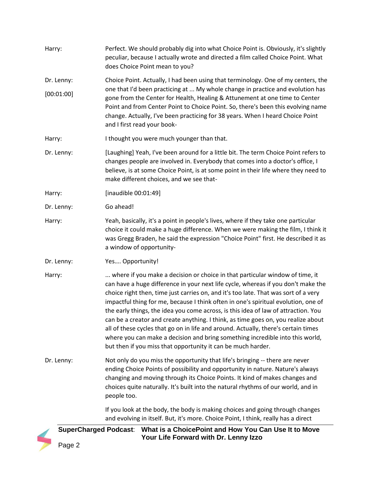| Harry:     | Perfect. We should probably dig into what Choice Point is. Obviously, it's slightly<br>peculiar, because I actually wrote and directed a film called Choice Point. What<br>does Choice Point mean to you?                                                                                                                                                                                                                                                                                                                                                                                                                                                                                                                                                        |
|------------|------------------------------------------------------------------------------------------------------------------------------------------------------------------------------------------------------------------------------------------------------------------------------------------------------------------------------------------------------------------------------------------------------------------------------------------------------------------------------------------------------------------------------------------------------------------------------------------------------------------------------------------------------------------------------------------------------------------------------------------------------------------|
| Dr. Lenny: | Choice Point. Actually, I had been using that terminology. One of my centers, the                                                                                                                                                                                                                                                                                                                                                                                                                                                                                                                                                                                                                                                                                |
| [00:01:00] | one that I'd been practicing at  My whole change in practice and evolution has<br>gone from the Center for Health, Healing & Attunement at one time to Center<br>Point and from Center Point to Choice Point. So, there's been this evolving name<br>change. Actually, I've been practicing for 38 years. When I heard Choice Point<br>and I first read your book-                                                                                                                                                                                                                                                                                                                                                                                               |
| Harry:     | I thought you were much younger than that.                                                                                                                                                                                                                                                                                                                                                                                                                                                                                                                                                                                                                                                                                                                       |
| Dr. Lenny: | [Laughing] Yeah, I've been around for a little bit. The term Choice Point refers to<br>changes people are involved in. Everybody that comes into a doctor's office, I<br>believe, is at some Choice Point, is at some point in their life where they need to<br>make different choices, and we see that-                                                                                                                                                                                                                                                                                                                                                                                                                                                         |
| Harry:     | [inaudible 00:01:49]                                                                                                                                                                                                                                                                                                                                                                                                                                                                                                                                                                                                                                                                                                                                             |
| Dr. Lenny: | Go ahead!                                                                                                                                                                                                                                                                                                                                                                                                                                                                                                                                                                                                                                                                                                                                                        |
| Harry:     | Yeah, basically, it's a point in people's lives, where if they take one particular<br>choice it could make a huge difference. When we were making the film, I think it<br>was Gregg Braden, he said the expression "Choice Point" first. He described it as<br>a window of opportunity-                                                                                                                                                                                                                                                                                                                                                                                                                                                                          |
| Dr. Lenny: | Yes Opportunity!                                                                                                                                                                                                                                                                                                                                                                                                                                                                                                                                                                                                                                                                                                                                                 |
| Harry:     | where if you make a decision or choice in that particular window of time, it<br>can have a huge difference in your next life cycle, whereas if you don't make the<br>choice right then, time just carries on, and it's too late. That was sort of a very<br>impactful thing for me, because I think often in one's spiritual evolution, one of<br>the early things, the idea you come across, is this idea of law of attraction. You<br>can be a creator and create anything. I think, as time goes on, you realize about<br>all of these cycles that go on in life and around. Actually, there's certain times<br>where you can make a decision and bring something incredible into this world,<br>but then if you miss that opportunity it can be much harder. |
| Dr. Lenny: | Not only do you miss the opportunity that life's bringing -- there are never<br>ending Choice Points of possibility and opportunity in nature. Nature's always<br>changing and moving through its Choice Points. It kind of makes changes and<br>choices quite naturally. It's built into the natural rhythms of our world, and in<br>people too.                                                                                                                                                                                                                                                                                                                                                                                                                |
|            | If you look at the body, the body is making choices and going through changes<br>and evolving in itself. But, it's more. Choice Point, I think, really has a direct                                                                                                                                                                                                                                                                                                                                                                                                                                                                                                                                                                                              |



**Your Life Forward with Dr. Lenny Izzo**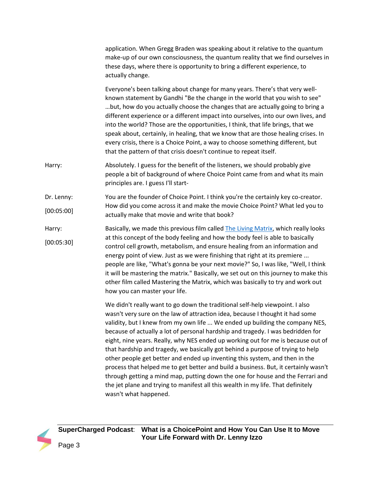|            | application. When Gregg Braden was speaking about it relative to the quantum<br>make-up of our own consciousness, the quantum reality that we find ourselves in<br>these days, where there is opportunity to bring a different experience, to<br>actually change.                                                                                                                                                                                                                                                                                                                                                                                                                                                                                             |
|------------|---------------------------------------------------------------------------------------------------------------------------------------------------------------------------------------------------------------------------------------------------------------------------------------------------------------------------------------------------------------------------------------------------------------------------------------------------------------------------------------------------------------------------------------------------------------------------------------------------------------------------------------------------------------------------------------------------------------------------------------------------------------|
|            | Everyone's been talking about change for many years. There's that very well-<br>known statement by Gandhi "Be the change in the world that you wish to see"<br>but, how do you actually choose the changes that are actually going to bring a<br>different experience or a different impact into ourselves, into our own lives, and<br>into the world? Those are the opportunities, I think, that life brings, that we<br>speak about, certainly, in healing, that we know that are those healing crises. In<br>every crisis, there is a Choice Point, a way to choose something different, but<br>that the pattern of that crisis doesn't continue to repeat itself.                                                                                         |
| Harry:     | Absolutely. I guess for the benefit of the listeners, we should probably give<br>people a bit of background of where Choice Point came from and what its main<br>principles are. I guess I'll start-                                                                                                                                                                                                                                                                                                                                                                                                                                                                                                                                                          |
| Dr. Lenny: | You are the founder of Choice Point. I think you're the certainly key co-creator.                                                                                                                                                                                                                                                                                                                                                                                                                                                                                                                                                                                                                                                                             |
| [00:05:00] | How did you come across it and make the movie Choice Point? What led you to<br>actually make that movie and write that book?                                                                                                                                                                                                                                                                                                                                                                                                                                                                                                                                                                                                                                  |
| Harry:     | Basically, we made this previous film called The Living Matrix, which really looks                                                                                                                                                                                                                                                                                                                                                                                                                                                                                                                                                                                                                                                                            |
| [00:05:30] | at this concept of the body feeling and how the body feel is able to basically<br>control cell growth, metabolism, and ensure healing from an information and<br>energy point of view. Just as we were finishing that right at its premiere<br>people are like, "What's gonna be your next movie?" So, I was like, "Well, I think<br>it will be mastering the matrix." Basically, we set out on this journey to make this<br>other film called Mastering the Matrix, which was basically to try and work out<br>how you can master your life.                                                                                                                                                                                                                 |
|            | We didn't really want to go down the traditional self-help viewpoint. I also<br>wasn't very sure on the law of attraction idea, because I thought it had some<br>validity, but I knew from my own life  We ended up building the company NES,<br>because of actually a lot of personal hardship and tragedy. I was bedridden for<br>eight, nine years. Really, why NES ended up working out for me is because out of<br>that hardship and tragedy, we basically got behind a purpose of trying to help<br>other people get better and ended up inventing this system, and then in the<br>process that helped me to get better and build a business. But, it certainly wasn't<br>through getting a mind man putting down the one for house and the Ferrari and |

through getting a mind map, putting down the one for house and the Ferrari and the jet plane and trying to manifest all this wealth in my life. That definitely wasn't what happened.

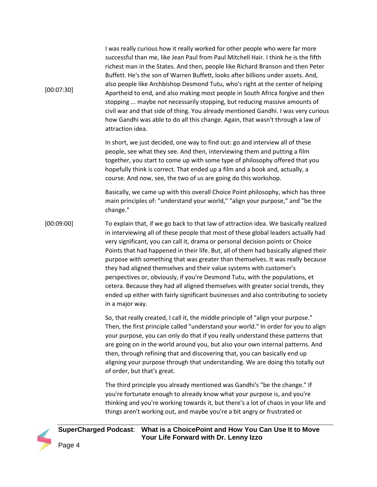| [00:07:30] | I was really curious how it really worked for other people who were far more<br>successful than me, like Jean Paul from Paul Mitchell Hair. I think he is the fifth<br>richest man in the States. And then, people like Richard Branson and then Peter<br>Buffett. He's the son of Warren Buffett, looks after billions under assets. And,<br>also people like Archbishop Desmond Tutu, who's right at the center of helping<br>Apartheid to end, and also making most people in South Africa forgive and then<br>stopping  maybe not necessarily stopping, but reducing massive amounts of<br>civil war and that side of thing. You already mentioned Gandhi. I was very curious<br>how Gandhi was able to do all this change. Again, that wasn't through a law of<br>attraction idea.     |
|------------|---------------------------------------------------------------------------------------------------------------------------------------------------------------------------------------------------------------------------------------------------------------------------------------------------------------------------------------------------------------------------------------------------------------------------------------------------------------------------------------------------------------------------------------------------------------------------------------------------------------------------------------------------------------------------------------------------------------------------------------------------------------------------------------------|
|            | In short, we just decided, one way to find out: go and interview all of these<br>people, see what they see. And then, interviewing them and putting a film<br>together, you start to come up with some type of philosophy offered that you<br>hopefully think is correct. That ended up a film and a book and, actually, a<br>course. And now, see, the two of us are going do this workshop.                                                                                                                                                                                                                                                                                                                                                                                               |
|            | Basically, we came up with this overall Choice Point philosophy, which has three<br>main principles of: "understand your world," "align your purpose," and "be the<br>change."                                                                                                                                                                                                                                                                                                                                                                                                                                                                                                                                                                                                              |
| [00:09:00] | To explain that, if we go back to that law of attraction idea. We basically realized<br>in interviewing all of these people that most of these global leaders actually had<br>very significant, you can call it, drama or personal decision points or Choice<br>Points that had happened in their life. But, all of them had basically aligned their<br>purpose with something that was greater than themselves. It was really because<br>they had aligned themselves and their value systems with customer's<br>perspectives or, obviously, if you're Desmond Tutu, with the populations, et<br>cetera. Because they had all aligned themselves with greater social trends, they<br>ended up either with fairly significant businesses and also contributing to society<br>in a major way. |
|            | So, that really created, I call it, the middle principle of "align your purpose."<br>Then, the first principle called "understand your world." In order for you to align<br>your purpose, you can only do that if you really understand these patterns that<br>are going on in the world around you, but also your own internal patterns. And<br>then, through refining that and discovering that, you can basically end up<br>aligning your purpose through that understanding. We are doing this totally out<br>of order, but that's great.                                                                                                                                                                                                                                               |
|            | The third principle you already mentioned was Gandhi's "be the change." If<br>you're fortunate enough to already know what your purpose is, and you're<br>thinking and you're working towards it, but there's a lot of chaos in your life and<br>things aren't working out, and maybe you're a bit angry or frustrated or                                                                                                                                                                                                                                                                                                                                                                                                                                                                   |

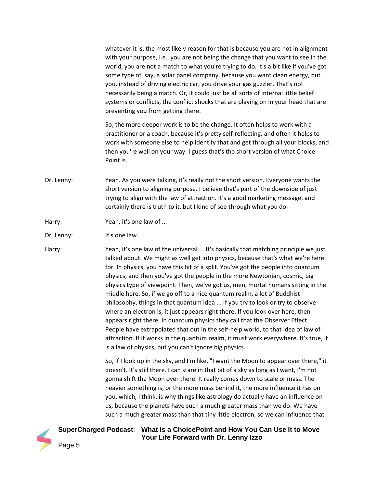whatever it is, the most likely reason for that is because you are not in alignment with your purpose, i.e., you are not being the change that you want to see in the world, you are not a match to what you're trying to do. It's a bit like if you've got some type of, say, a solar panel company, because you want clean energy, but you, instead of driving electric car, you drive your gas guzzler. That's not necessarily being a match. Or, it could just be all sorts of internal little belief systems or conflicts, the conflict shocks that are playing on in your head that are preventing you from getting there.

So, the more deeper work is to be the change. It often helps to work with a practitioner or a coach, because it's pretty self-reflecting, and often it helps to work with someone else to help identify that and get through all your blocks, and then you're well on your way. I guess that's the short version of what Choice Point is.

Dr. Lenny: Yeah. As you were talking, it's really not the short version. Everyone wants the short version to aligning purpose. I believe that's part of the downside of just trying to align with the law of attraction. It's a good marketing message, and certainly there is truth to it, but I kind of see through what you do-

Harry: Yeah, it's one law of ...

Dr. Lenny: It's one law.

Harry: Yeah, it's one law of the universal ... It's basically that matching principle we just talked about. We might as well get into physics, because that's what we're here for. In physics, you have this bit of a split. You've got the people into quantum physics, and then you've got the people in the more Newtonian, cosmic, big physics type of viewpoint. Then, we've got us, men, mortal humans sitting in the middle here. So, if we go off to a nice quantum realm, a lot of Buddhist philosophy, things in that quantum idea ... If you try to look or try to observe where an electron is, it just appears right there. If you look over here, then appears right there. In quantum physics they call that the Observer Effect. People have extrapolated that out in the self-help world, to that idea of law of attraction. If it works in the quantum realm, it must work everywhere. It's true, it is a law of physics, but you can't ignore big physics.

> So, if I look up in the sky, and I'm like, "I want the Moon to appear over there," it doesn't. It's still there. I can stare in that bit of a sky as long as I want, I'm not gonna shift the Moon over there. It really comes down to scale or mass. The heavier something is, or the more mass behind it, the more influence it has on you, which, I think, is why things like astrology do actually have an influence on us, because the planets have such a much greater mass than we do. We have such a much greater mass than that tiny little electron, so we can influence that

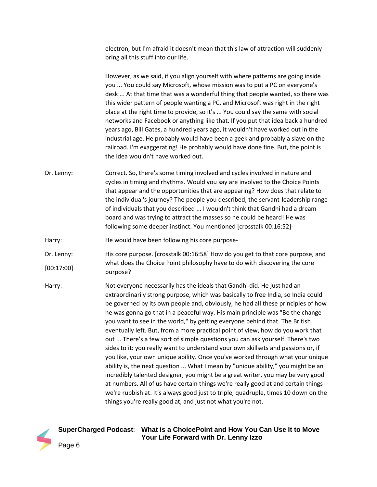electron, but I'm afraid it doesn't mean that this law of attraction will suddenly bring all this stuff into our life.

However, as we said, if you align yourself with where patterns are going inside you ... You could say Microsoft, whose mission was to put a PC on everyone's desk ... At that time that was a wonderful thing that people wanted, so there was this wider pattern of people wanting a PC, and Microsoft was right in the right place at the right time to provide, so it's ... You could say the same with social networks and Facebook or anything like that. If you put that idea back a hundred years ago, Bill Gates, a hundred years ago, it wouldn't have worked out in the industrial age. He probably would have been a geek and probably a slave on the railroad. I'm exaggerating! He probably would have done fine. But, the point is the idea wouldn't have worked out.

- Dr. Lenny: Correct. So, there's some timing involved and cycles involved in nature and cycles in timing and rhythms. Would you say are involved to the Choice Points that appear and the opportunities that are appearing? How does that relate to the individual's journey? The people you described, the servant-leadership range of individuals that you described ... I wouldn't think that Gandhi had a dream board and was trying to attract the masses so he could be heard! He was following some deeper instinct. You mentioned [crosstalk 00:16:52]-
- Harry: He would have been following his core purpose-
- Dr. Lenny: [00:17:00] His core purpose. [crosstalk 00:16:58] How do you get to that core purpose, and what does the Choice Point philosophy have to do with discovering the core purpose?
- Harry: Not everyone necessarily has the ideals that Gandhi did. He just had an extraordinarily strong purpose, which was basically to free India, so India could be governed by its own people and, obviously, he had all these principles of how he was gonna go that in a peaceful way. His main principle was "Be the change you want to see in the world," by getting everyone behind that. The British eventually left. But, from a more practical point of view, how do you work that out ... There's a few sort of simple questions you can ask yourself. There's two sides to it: you really want to understand your own skillsets and passions or, if you like, your own unique ability. Once you've worked through what your unique ability is, the next question ... What I mean by "unique ability," you might be an incredibly talented designer, you might be a great writer, you may be very good at numbers. All of us have certain things we're really good at and certain things we're rubbish at. It's always good just to triple, quadruple, times 10 down on the things you're really good at, and just not what you're not.

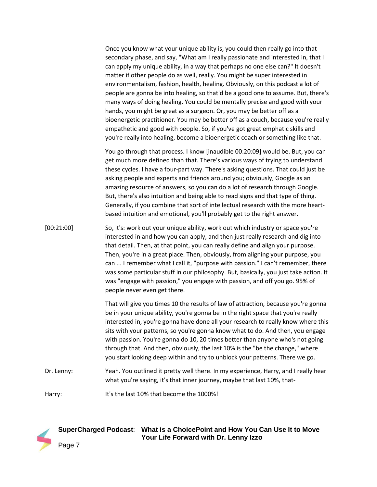Once you know what your unique ability is, you could then really go into that secondary phase, and say, "What am I really passionate and interested in, that I can apply my unique ability, in a way that perhaps no one else can?" It doesn't matter if other people do as well, really. You might be super interested in environmentalism, fashion, health, healing. Obviously, on this podcast a lot of people are gonna be into healing, so that'd be a good one to assume. But, there's many ways of doing healing. You could be mentally precise and good with your hands, you might be great as a surgeon. Or, you may be better off as a bioenergetic practitioner. You may be better off as a couch, because you're really empathetic and good with people. So, if you've got great emphatic skills and you're really into healing, become a bioenergetic coach or something like that.

You go through that process. I know [inaudible 00:20:09] would be. But, you can get much more defined than that. There's various ways of trying to understand these cycles. I have a four-part way. There's asking questions. That could just be asking people and experts and friends around you; obviously, Google as an amazing resource of answers, so you can do a lot of research through Google. But, there's also intuition and being able to read signs and that type of thing. Generally, if you combine that sort of intellectual research with the more heartbased intuition and emotional, you'll probably get to the right answer.

[00:21:00] So, it's: work out your unique ability, work out which industry or space you're interested in and how you can apply, and then just really research and dig into that detail. Then, at that point, you can really define and align your purpose. Then, you're in a great place. Then, obviously, from aligning your purpose, you can ... I remember what I call it, "purpose with passion." I can't remember, there was some particular stuff in our philosophy. But, basically, you just take action. It was "engage with passion," you engage with passion, and off you go. 95% of people never even get there.

> That will give you times 10 the results of law of attraction, because you're gonna be in your unique ability, you're gonna be in the right space that you're really interested in, you're gonna have done all your research to really know where this sits with your patterns, so you're gonna know what to do. And then, you engage with passion. You're gonna do 10, 20 times better than anyone who's not going through that. And then, obviously, the last 10% is the "be the change," where you start looking deep within and try to unblock your patterns. There we go.

Dr. Lenny: Yeah. You outlined it pretty well there. In my experience, Harry, and I really hear what you're saying, it's that inner journey, maybe that last 10%, that-

Harry: It's the last 10% that become the 1000%!

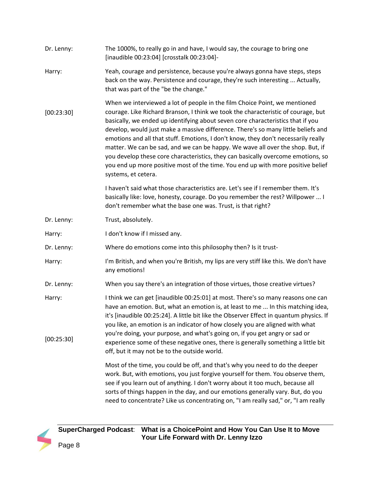| Dr. Lenny:           | The 1000%, to really go in and have, I would say, the courage to bring one<br>[inaudible 00:23:04] [crosstalk 00:23:04]-                                                                                                                                                                                                                                                                                                                                                                                                                                                                                                                                                                                      |
|----------------------|---------------------------------------------------------------------------------------------------------------------------------------------------------------------------------------------------------------------------------------------------------------------------------------------------------------------------------------------------------------------------------------------------------------------------------------------------------------------------------------------------------------------------------------------------------------------------------------------------------------------------------------------------------------------------------------------------------------|
| Harry:               | Yeah, courage and persistence, because you're always gonna have steps, steps<br>back on the way. Persistence and courage, they're such interesting  Actually,<br>that was part of the "be the change."                                                                                                                                                                                                                                                                                                                                                                                                                                                                                                        |
| [00:23:30]           | When we interviewed a lot of people in the film Choice Point, we mentioned<br>courage. Like Richard Branson, I think we took the characteristic of courage, but<br>basically, we ended up identifying about seven core characteristics that if you<br>develop, would just make a massive difference. There's so many little beliefs and<br>emotions and all that stuff. Emotions, I don't know, they don't necessarily really<br>matter. We can be sad, and we can be happy. We wave all over the shop. But, if<br>you develop these core characteristics, they can basically overcome emotions, so<br>you end up more positive most of the time. You end up with more positive belief<br>systems, et cetera. |
|                      | I haven't said what those characteristics are. Let's see if I remember them. It's<br>basically like: love, honesty, courage. Do you remember the rest? Willpower  I<br>don't remember what the base one was. Trust, is that right?                                                                                                                                                                                                                                                                                                                                                                                                                                                                            |
| Dr. Lenny:           | Trust, absolutely.                                                                                                                                                                                                                                                                                                                                                                                                                                                                                                                                                                                                                                                                                            |
| Harry:               | I don't know if I missed any.                                                                                                                                                                                                                                                                                                                                                                                                                                                                                                                                                                                                                                                                                 |
| Dr. Lenny:           | Where do emotions come into this philosophy then? Is it trust-                                                                                                                                                                                                                                                                                                                                                                                                                                                                                                                                                                                                                                                |
| Harry:               | I'm British, and when you're British, my lips are very stiff like this. We don't have<br>any emotions!                                                                                                                                                                                                                                                                                                                                                                                                                                                                                                                                                                                                        |
| Dr. Lenny:           | When you say there's an integration of those virtues, those creative virtues?                                                                                                                                                                                                                                                                                                                                                                                                                                                                                                                                                                                                                                 |
| Harry:<br>[00:25:30] | I think we can get [inaudible 00:25:01] at most. There's so many reasons one can<br>have an emotion. But, what an emotion is, at least to me  In this matching idea,<br>it's [inaudible 00:25:24]. A little bit like the Observer Effect in quantum physics. If<br>you like, an emotion is an indicator of how closely you are aligned with what<br>you're doing, your purpose, and what's going on, if you get angry or sad or<br>experience some of these negative ones, there is generally something a little bit                                                                                                                                                                                          |
|                      | off, but it may not be to the outside world.                                                                                                                                                                                                                                                                                                                                                                                                                                                                                                                                                                                                                                                                  |
|                      | Most of the time, you could be off, and that's why you need to do the deeper<br>work. But, with emotions, you just forgive yourself for them. You observe them,<br>see if you learn out of anything. I don't worry about it too much, because all<br>sorts of things happen in the day, and our emotions generally vary. But, do you<br>need to concentrate? Like us concentrating on, "I am really sad," or, "I am really                                                                                                                                                                                                                                                                                    |

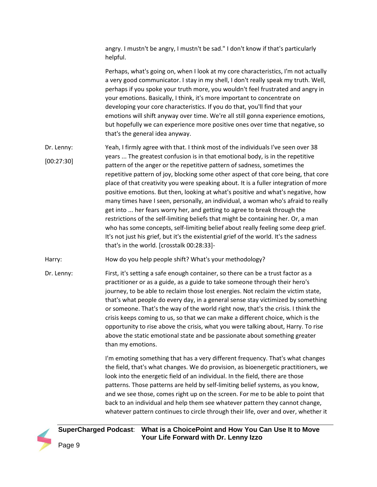angry. I mustn't be angry, I mustn't be sad." I don't know if that's particularly helpful.

Perhaps, what's going on, when I look at my core characteristics, I'm not actually a very good communicator. I stay in my shell, I don't really speak my truth. Well, perhaps if you spoke your truth more, you wouldn't feel frustrated and angry in your emotions. Basically, I think, it's more important to concentrate on developing your core characteristics. If you do that, you'll find that your emotions will shift anyway over time. We're all still gonna experience emotions, but hopefully we can experience more positive ones over time that negative, so that's the general idea anyway.

- Dr. Lenny: [00:27:30] Yeah, I firmly agree with that. I think most of the individuals I've seen over 38 years ... The greatest confusion is in that emotional body, is in the repetitive pattern of the anger or the repetitive pattern of sadness, sometimes the repetitive pattern of joy, blocking some other aspect of that core being, that core place of that creativity you were speaking about. It is a fuller integration of more positive emotions. But then, looking at what's positive and what's negative, how many times have I seen, personally, an individual, a woman who's afraid to really get into ... her fears worry her, and getting to agree to break through the restrictions of the self-limiting beliefs that might be containing her. Or, a man who has some concepts, self-limiting belief about really feeling some deep grief. It's not just his grief, but it's the existential grief of the world. It's the sadness that's in the world. [crosstalk 00:28:33]-
- Harry: How do you help people shift? What's your methodology?
- Dr. Lenny: First, it's setting a safe enough container, so there can be a trust factor as a practitioner or as a guide, as a guide to take someone through their hero's journey, to be able to reclaim those lost energies. Not reclaim the victim state, that's what people do every day, in a general sense stay victimized by something or someone. That's the way of the world right now, that's the crisis. I think the crisis keeps coming to us, so that we can make a different choice, which is the opportunity to rise above the crisis, what you were talking about, Harry. To rise above the static emotional state and be passionate about something greater than my emotions.

I'm emoting something that has a very different frequency. That's what changes the field, that's what changes. We do provision, as bioenergetic practitioners, we look into the energetic field of an individual. In the field, there are those patterns. Those patterns are held by self-limiting belief systems, as you know, and we see those, comes right up on the screen. For me to be able to point that back to an individual and help them see whatever pattern they cannot change, whatever pattern continues to circle through their life, over and over, whether it

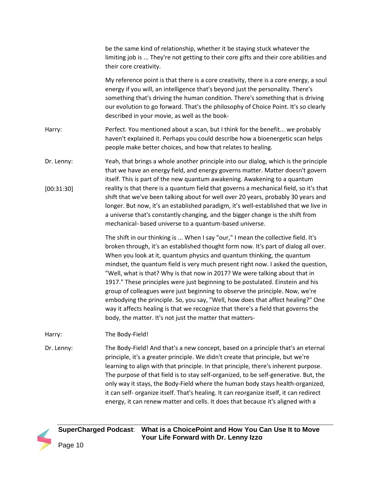|                          | be the same kind of relationship, whether it be staying stuck whatever the<br>limiting job is  They're not getting to their core gifts and their core abilities and<br>their core creativity.                                                                                                                                                                                                                                                                                                                                                                                                                                                                                                                                                                                                                               |
|--------------------------|-----------------------------------------------------------------------------------------------------------------------------------------------------------------------------------------------------------------------------------------------------------------------------------------------------------------------------------------------------------------------------------------------------------------------------------------------------------------------------------------------------------------------------------------------------------------------------------------------------------------------------------------------------------------------------------------------------------------------------------------------------------------------------------------------------------------------------|
|                          | My reference point is that there is a core creativity, there is a core energy, a soul<br>energy if you will, an intelligence that's beyond just the personality. There's<br>something that's driving the human condition. There's something that is driving<br>our evolution to go forward. That's the philosophy of Choice Point. It's so clearly<br>described in your movie, as well as the book-                                                                                                                                                                                                                                                                                                                                                                                                                         |
| Harry:                   | Perfect. You mentioned about a scan, but I think for the benefit we probably<br>haven't explained it. Perhaps you could describe how a bioenergetic scan helps<br>people make better choices, and how that relates to healing.                                                                                                                                                                                                                                                                                                                                                                                                                                                                                                                                                                                              |
| Dr. Lenny:<br>[00:31:30] | Yeah, that brings a whole another principle into our dialog, which is the principle<br>that we have an energy field, and energy governs matter. Matter doesn't govern<br>itself. This is part of the new quantum awakening. Awakening to a quantum<br>reality is that there is a quantum field that governs a mechanical field, so it's that<br>shift that we've been talking about for well over 20 years, probably 30 years and<br>longer. But now, it's an established paradigm, it's well-established that we live in<br>a universe that's constantly changing, and the bigger change is the shift from<br>mechanical- based universe to a quantum-based universe.                                                                                                                                                      |
|                          | The shift in our thinking is  When I say "our," I mean the collective field. It's<br>broken through, it's an established thought form now. It's part of dialog all over.<br>When you look at it, quantum physics and quantum thinking, the quantum<br>mindset, the quantum field is very much present right now. I asked the question,<br>"Well, what is that? Why is that now in 2017? We were talking about that in<br>1917." These principles were just beginning to be postulated. Einstein and his<br>group of colleagues were just beginning to observe the principle. Now, we're<br>embodying the principle. So, you say, "Well, how does that affect healing?" One<br>way it affects healing is that we recognize that there's a field that governs the<br>body, the matter. It's not just the matter that matters- |
| Harry:                   | The Body-Field!                                                                                                                                                                                                                                                                                                                                                                                                                                                                                                                                                                                                                                                                                                                                                                                                             |
| Dr. Lenny:               | The Body-Field! And that's a new concept, based on a principle that's an eternal<br>principle, it's a greater principle. We didn't create that principle, but we're<br>learning to align with that principle. In that principle, there's inherent purpose.<br>The purpose of that field is to stay self-organized, to be self-generative. But, the<br>only way it stays, the Body-Field where the human body stays health-organized,<br>it can self- organize itself. That's healing. It can reorganize itself, it can redirect<br>energy, it can renew matter and cells. It does that because it's aligned with a                                                                                                                                                                                                          |

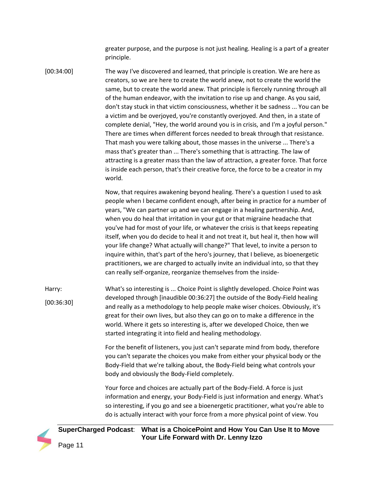greater purpose, and the purpose is not just healing. Healing is a part of a greater principle.

[00:34:00] The way I've discovered and learned, that principle is creation. We are here as creators, so we are here to create the world anew, not to create the world the same, but to create the world anew. That principle is fiercely running through all of the human endeavor, with the invitation to rise up and change. As you said, don't stay stuck in that victim consciousness, whether it be sadness ... You can be a victim and be overjoyed, you're constantly overjoyed. And then, in a state of complete denial, "Hey, the world around you is in crisis, and I'm a joyful person." There are times when different forces needed to break through that resistance. That mash you were talking about, those masses in the universe ... There's a mass that's greater than ... There's something that is attracting. The law of attracting is a greater mass than the law of attraction, a greater force. That force is inside each person, that's their creative force, the force to be a creator in my world.

> Now, that requires awakening beyond healing. There's a question I used to ask people when I became confident enough, after being in practice for a number of years, "We can partner up and we can engage in a healing partnership. And, when you do heal that irritation in your gut or that migraine headache that you've had for most of your life, or whatever the crisis is that keeps repeating itself, when you do decide to heal it and not treat it, but heal it, then how will your life change? What actually will change?" That level, to invite a person to inquire within, that's part of the hero's journey, that I believe, as bioenergetic practitioners, we are charged to actually invite an individual into, so that they can really self-organize, reorganize themselves from the inside-

Harry: [00:36:30] What's so interesting is ... Choice Point is slightly developed. Choice Point was developed through [inaudible 00:36:27] the outside of the Body-Field healing and really as a methodology to help people make wiser choices. Obviously, it's great for their own lives, but also they can go on to make a difference in the world. Where it gets so interesting is, after we developed Choice, then we started integrating it into field and healing methodology.

> For the benefit of listeners, you just can't separate mind from body, therefore you can't separate the choices you make from either your physical body or the Body-Field that we're talking about, the Body-Field being what controls your body and obviously the Body-Field completely.

Your force and choices are actually part of the Body-Field. A force is just information and energy, your Body-Field is just information and energy. What's so interesting, if you go and see a bioenergetic practitioner, what you're able to do is actually interact with your force from a more physical point of view. You

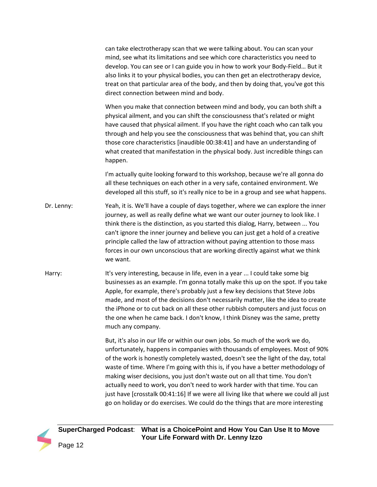can take electrotherapy scan that we were talking about. You can scan your mind, see what its limitations and see which core characteristics you need to develop. You can see or I can guide you in how to work your Body-Field… But it also links it to your physical bodies, you can then get an electrotherapy device, treat on that particular area of the body, and then by doing that, you've got this direct connection between mind and body.

When you make that connection between mind and body, you can both shift a physical ailment, and you can shift the consciousness that's related or might have caused that physical ailment. If you have the right coach who can talk you through and help you see the consciousness that was behind that, you can shift those core characteristics [inaudible 00:38:41] and have an understanding of what created that manifestation in the physical body. Just incredible things can happen.

I'm actually quite looking forward to this workshop, because we're all gonna do all these techniques on each other in a very safe, contained environment. We developed all this stuff, so it's really nice to be in a group and see what happens.

- Dr. Lenny: Yeah, it is. We'll have a couple of days together, where we can explore the inner journey, as well as really define what we want our outer journey to look like. I think there is the distinction, as you started this dialog, Harry, between ... You can't ignore the inner journey and believe you can just get a hold of a creative principle called the law of attraction without paying attention to those mass forces in our own unconscious that are working directly against what we think we want.
- Harry: It's very interesting, because in life, even in a year ... I could take some big businesses as an example. I'm gonna totally make this up on the spot. If you take Apple, for example, there's probably just a few key decisions that Steve Jobs made, and most of the decisions don't necessarily matter, like the idea to create the iPhone or to cut back on all these other rubbish computers and just focus on the one when he came back. I don't know, I think Disney was the same, pretty much any company.

But, it's also in our life or within our own jobs. So much of the work we do, unfortunately, happens in companies with thousands of employees. Most of 90% of the work is honestly completely wasted, doesn't see the light of the day, total waste of time. Where I'm going with this is, if you have a better methodology of making wiser decisions, you just don't waste out on all that time. You don't actually need to work, you don't need to work harder with that time. You can just have [crosstalk 00:41:16] If we were all living like that where we could all just go on holiday or do exercises. We could do the things that are more interesting

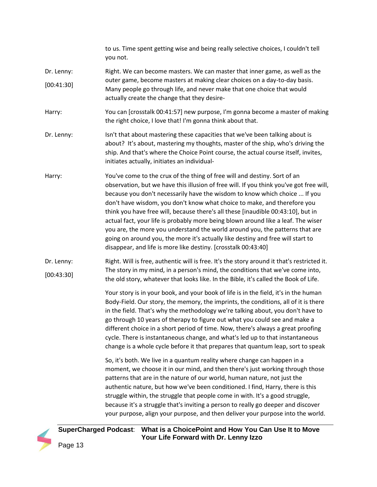to us. Time spent getting wise and being really selective choices, I couldn't tell you not. Dr. Lenny: [00:41:30] Right. We can become masters. We can master that inner game, as well as the outer game, become masters at making clear choices on a day-to-day basis. Many people go through life, and never make that one choice that would actually create the change that they desire-Harry: You can [crosstalk 00:41:57] new purpose, I'm gonna become a master of making the right choice, I love that! I'm gonna think about that. Dr. Lenny: Isn't that about mastering these capacities that we've been talking about is about? It's about, mastering my thoughts, master of the ship, who's driving the ship. And that's where the Choice Point course, the actual course itself, invites, initiates actually, initiates an individual-Harry: You've come to the crux of the thing of free will and destiny. Sort of an observation, but we have this illusion of free will. If you think you've got free will, because you don't necessarily have the wisdom to know which choice ... If you don't have wisdom, you don't know what choice to make, and therefore you think you have free will, because there's all these [inaudible 00:43:10], but in actual fact, your life is probably more being blown around like a leaf. The wiser you are, the more you understand the world around you, the patterns that are going on around you, the more it's actually like destiny and free will start to disappear, and life is more like destiny. [crosstalk 00:43:40] Dr. Lenny: [00:43:30] Right. Will is free, authentic will is free. It's the story around it that's restricted it. The story in my mind, in a person's mind, the conditions that we've come into, the old story, whatever that looks like. In the Bible, it's called the Book of Life. Your story is in your book, and your book of life is in the field, it's in the human Body-Field. Our story, the memory, the imprints, the conditions, all of it is there in the field. That's why the methodology we're talking about, you don't have to go through 10 years of therapy to figure out what you could see and make a different choice in a short period of time. Now, there's always a great proofing cycle. There is instantaneous change, and what's led up to that instantaneous change is a whole cycle before it that prepares that quantum leap, sort to speak So, it's both. We live in a quantum reality where change can happen in a moment, we choose it in our mind, and then there's just working through those patterns that are in the nature of our world, human nature, not just the authentic nature, but how we've been conditioned. I find, Harry, there is this struggle within, the struggle that people come in with. It's a good struggle, because it's a struggle that's inviting a person to really go deeper and discover your purpose, align your purpose, and then deliver your purpose into the world.

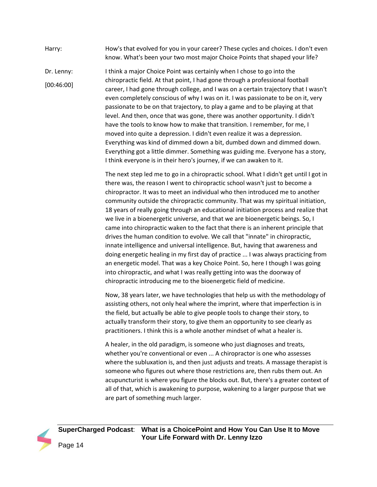## Harry: How's that evolved for you in your career? These cycles and choices. I don't even know. What's been your two most major Choice Points that shaped your life?

Dr. Lenny: [00:46:00] I think a major Choice Point was certainly when I chose to go into the chiropractic field. At that point, I had gone through a professional football career, I had gone through college, and I was on a certain trajectory that I wasn't even completely conscious of why I was on it. I was passionate to be on it, very passionate to be on that trajectory, to play a game and to be playing at that level. And then, once that was gone, there was another opportunity. I didn't have the tools to know how to make that transition. I remember, for me, I moved into quite a depression. I didn't even realize it was a depression. Everything was kind of dimmed down a bit, dumbed down and dimmed down. Everything got a little dimmer. Something was guiding me. Everyone has a story, I think everyone is in their hero's journey, if we can awaken to it.

> The next step led me to go in a chiropractic school. What I didn't get until I got in there was, the reason I went to chiropractic school wasn't just to become a chiropractor. It was to meet an individual who then introduced me to another community outside the chiropractic community. That was my spiritual initiation, 18 years of really going through an educational initiation process and realize that we live in a bioenergetic universe, and that we are bioenergetic beings. So, I came into chiropractic waken to the fact that there is an inherent principle that drives the human condition to evolve. We call that "innate" in chiropractic, innate intelligence and universal intelligence. But, having that awareness and doing energetic healing in my first day of practice ... I was always practicing from an energetic model. That was a key Choice Point. So, here I though I was going into chiropractic, and what I was really getting into was the doorway of chiropractic introducing me to the bioenergetic field of medicine.

Now, 38 years later, we have technologies that help us with the methodology of assisting others, not only heal where the imprint, where that imperfection is in the field, but actually be able to give people tools to change their story, to actually transform their story, to give them an opportunity to see clearly as practitioners. I think this is a whole another mindset of what a healer is.

A healer, in the old paradigm, is someone who just diagnoses and treats, whether you're conventional or even ... A chiropractor is one who assesses where the subluxation is, and then just adjusts and treats. A massage therapist is someone who figures out where those restrictions are, then rubs them out. An acupuncturist is where you figure the blocks out. But, there's a greater context of all of that, which is awakening to purpose, wakening to a larger purpose that we are part of something much larger.

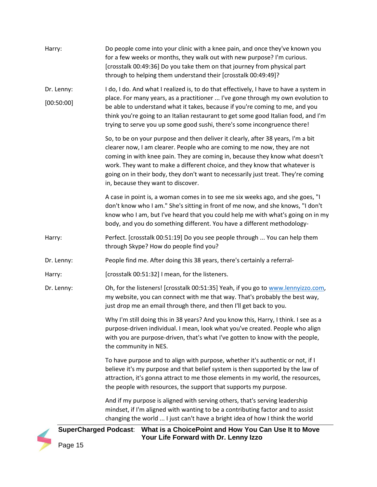| Harry:     | Do people come into your clinic with a knee pain, and once they've known you<br>for a few weeks or months, they walk out with new purpose? I'm curious.<br>[crosstalk 00:49:36] Do you take them on that journey from physical part<br>through to helping them understand their [crosstalk 00:49:49]?                                                                                                                                                 |
|------------|-------------------------------------------------------------------------------------------------------------------------------------------------------------------------------------------------------------------------------------------------------------------------------------------------------------------------------------------------------------------------------------------------------------------------------------------------------|
| Dr. Lenny: | I do, I do. And what I realized is, to do that effectively, I have to have a system in                                                                                                                                                                                                                                                                                                                                                                |
| [00:50:00] | place. For many years, as a practitioner  I've gone through my own evolution to<br>be able to understand what it takes, because if you're coming to me, and you<br>think you're going to an Italian restaurant to get some good Italian food, and I'm<br>trying to serve you up some good sushi, there's some incongruence there!                                                                                                                     |
|            | So, to be on your purpose and then deliver it clearly, after 38 years, I'm a bit<br>clearer now, I am clearer. People who are coming to me now, they are not<br>coming in with knee pain. They are coming in, because they know what doesn't<br>work. They want to make a different choice, and they know that whatever is<br>going on in their body, they don't want to necessarily just treat. They're coming<br>in, because they want to discover. |
|            | A case in point is, a woman comes in to see me six weeks ago, and she goes, "I<br>don't know who I am." She's sitting in front of me now, and she knows, "I don't<br>know who I am, but I've heard that you could help me with what's going on in my<br>body, and you do something different. You have a different methodology-                                                                                                                       |
| Harry:     | Perfect. [crosstalk 00:51:19] Do you see people through  You can help them<br>through Skype? How do people find you?                                                                                                                                                                                                                                                                                                                                  |
| Dr. Lenny: | People find me. After doing this 38 years, there's certainly a referral-                                                                                                                                                                                                                                                                                                                                                                              |
| Harry:     | [crosstalk 00:51:32] I mean, for the listeners.                                                                                                                                                                                                                                                                                                                                                                                                       |
| Dr. Lenny: | Oh, for the listeners! [crosstalk 00:51:35] Yeah, if you go to www.lennyizzo.com,<br>my website, you can connect with me that way. That's probably the best way,<br>just drop me an email through there, and then I'll get back to you.                                                                                                                                                                                                               |
|            | Why I'm still doing this in 38 years? And you know this, Harry, I think. I see as a<br>purpose-driven individual. I mean, look what you've created. People who align<br>with you are purpose-driven, that's what I've gotten to know with the people,<br>the community in NES.                                                                                                                                                                        |
|            | To have purpose and to align with purpose, whether it's authentic or not, if I<br>believe it's my purpose and that belief system is then supported by the law of<br>attraction, it's gonna attract to me those elements in my world, the resources,<br>the people with resources, the support that supports my purpose.                                                                                                                               |
|            | And if my purpose is aligned with serving others, that's serving leadership<br>mindset, if I'm aligned with wanting to be a contributing factor and to assist<br>changing the world  I just can't have a bright idea of how I think the world                                                                                                                                                                                                         |
| Page 15    | SuperCharged Podcast: What is a ChoicePoint and How You Can Use It to Move<br>Your Life Forward with Dr. Lenny Izzo                                                                                                                                                                                                                                                                                                                                   |

Page 15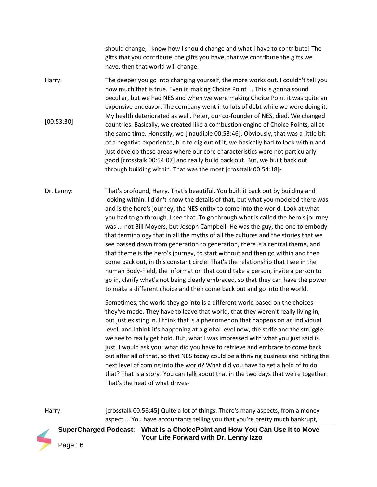should change, I know how I should change and what I have to contribute! The gifts that you contribute, the gifts you have, that we contribute the gifts we have, then that world will change.

- Harry: [00:53:30] The deeper you go into changing yourself, the more works out. I couldn't tell you how much that is true. Even in making Choice Point ... This is gonna sound peculiar, but we had NES and when we were making Choice Point it was quite an expensive endeavor. The company went into lots of debt while we were doing it. My health deteriorated as well. Peter, our co-founder of NES, died. We changed countries. Basically, we created like a combustion engine of Choice Points, all at the same time. Honestly, we [inaudible 00:53:46]. Obviously, that was a little bit of a negative experience, but to dig out of it, we basically had to look within and just develop these areas where our core characteristics were not particularly good [crosstalk 00:54:07] and really build back out. But, we built back out through building within. That was the most [crosstalk 00:54:18]-
- Dr. Lenny: That's profound, Harry. That's beautiful. You built it back out by building and looking within. I didn't know the details of that, but what you modeled there was and is the hero's journey, the NES entity to come into the world. Look at what you had to go through. I see that. To go through what is called the hero's journey was ... not Bill Moyers, but Joseph Campbell. He was the guy, the one to embody that terminology that in all the myths of all the cultures and the stories that we see passed down from generation to generation, there is a central theme, and that theme is the hero's journey, to start without and then go within and then come back out, in this constant circle. That's the relationship that I see in the human Body-Field, the information that could take a person, invite a person to go in, clarify what's not being clearly embraced, so that they can have the power to make a different choice and then come back out and go into the world.

Sometimes, the world they go into is a different world based on the choices they've made. They have to leave that world, that they weren't really living in, but just existing in. I think that is a phenomenon that happens on an individual level, and I think it's happening at a global level now, the strife and the struggle we see to really get hold. But, what I was impressed with what you just said is just, I would ask you: what did you have to retrieve and embrace to come back out after all of that, so that NES today could be a thriving business and hitting the next level of coming into the world? What did you have to get a hold of to do that? That is a story! You can talk about that in the two days that we're together. That's the heat of what drives-

Harry: [crosstalk 00:56:45] Quite a lot of things. There's many aspects, from a money aspect ... You have accountants telling you that you're pretty much bankrupt,

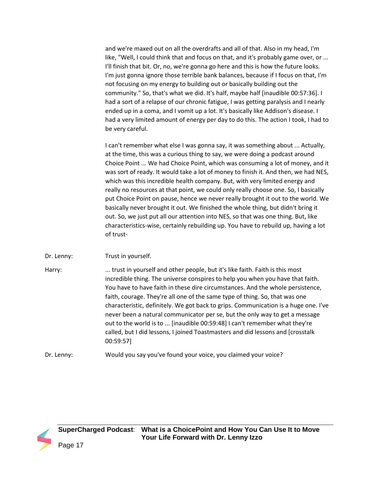and we're maxed out on all the overdrafts and all of that. Also in my head, I'm like, "Well, I could think that and focus on that, and it's probably game over, or ... I'll finish that bit. Or, no, we're gonna go here and this is how the future looks. I'm just gonna ignore those terrible bank balances, because if I focus on that, I'm not focusing on my energy to building out or basically building out the community." So, that's what we did. It's half, maybe half [inaudible 00:57:36]. I had a sort of a relapse of our chronic fatigue, I was getting paralysis and I nearly ended up in a coma, and I vomit up a lot. It's basically like Addison's disease. I had a very limited amount of energy per day to do this. The action I took, I had to be very careful.

I can't remember what else I was gonna say, it was something about ... Actually, at the time, this was a curious thing to say, we were doing a podcast around Choice Point ... We had Choice Point, which was consuming a lot of money, and it was sort of ready. It would take a lot of money to finish it. And then, we had NES, which was this incredible health company. But, with very limited energy and really no resources at that point, we could only really choose one. So, I basically put Choice Point on pause, hence we never really brought it out to the world. We basically never brought it out. We finished the whole thing, but didn't bring it out. So, we just put all our attention into NES, so that was one thing. But, like characteristics-wise, certainly rebuilding up. You have to rebuild up, having a lot of trust-

Dr. Lenny: Trust in yourself.

Harry: .... trust in yourself and other people, but it's like faith. Faith is this most incredible thing. The universe conspires to help you when you have that faith. You have to have faith in these dire circumstances. And the whole persistence, faith, courage. They're all one of the same type of thing. So, that was one characteristic, definitely. We got back to grips. Communication is a huge one. I've never been a natural communicator per se, but the only way to get a message out to the world is to ... [inaudible 00:59:48] I can't remember what they're called, but I did lessons, I joined Toastmasters and did lessons and [crosstalk 00:59:57]

Dr. Lenny: Would you say you've found your voice, you claimed your voice?

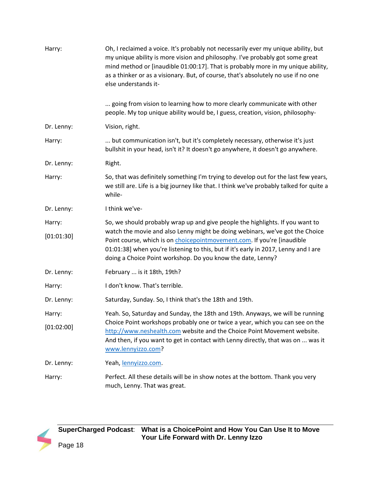| Harry:     | Oh, I reclaimed a voice. It's probably not necessarily ever my unique ability, but<br>my unique ability is more vision and philosophy. I've probably got some great<br>mind method or [inaudible 01:00:17]. That is probably more in my unique ability,<br>as a thinker or as a visionary. But, of course, that's absolutely no use if no one<br>else understands it- |
|------------|-----------------------------------------------------------------------------------------------------------------------------------------------------------------------------------------------------------------------------------------------------------------------------------------------------------------------------------------------------------------------|
|            | going from vision to learning how to more clearly communicate with other<br>people. My top unique ability would be, I guess, creation, vision, philosophy-                                                                                                                                                                                                            |
| Dr. Lenny: | Vision, right.                                                                                                                                                                                                                                                                                                                                                        |
| Harry:     | but communication isn't, but it's completely necessary, otherwise it's just<br>bullshit in your head, isn't it? It doesn't go anywhere, it doesn't go anywhere.                                                                                                                                                                                                       |
| Dr. Lenny: | Right.                                                                                                                                                                                                                                                                                                                                                                |
| Harry:     | So, that was definitely something I'm trying to develop out for the last few years,<br>we still are. Life is a big journey like that. I think we've probably talked for quite a<br>while-                                                                                                                                                                             |
| Dr. Lenny: | I think we've-                                                                                                                                                                                                                                                                                                                                                        |
| Harry:     | So, we should probably wrap up and give people the highlights. If you want to                                                                                                                                                                                                                                                                                         |
| [01:01:30] | watch the movie and also Lenny might be doing webinars, we've got the Choice<br>Point course, which is on choicepointmovement.com. If you're [inaudible<br>01:01:38] when you're listening to this, but if it's early in 2017, Lenny and I are<br>doing a Choice Point workshop. Do you know the date, Lenny?                                                         |
| Dr. Lenny: | February  is it 18th, 19th?                                                                                                                                                                                                                                                                                                                                           |
| Harry:     | I don't know. That's terrible.                                                                                                                                                                                                                                                                                                                                        |
| Dr. Lenny: | Saturday, Sunday. So, I think that's the 18th and 19th.                                                                                                                                                                                                                                                                                                               |
| Harry:     | Yeah. So, Saturday and Sunday, the 18th and 19th. Anyways, we will be running                                                                                                                                                                                                                                                                                         |
| [01:02:00] | Choice Point workshops probably one or twice a year, which you can see on the<br>http://www.neshealth.com website and the Choice Point Movement website.<br>And then, if you want to get in contact with Lenny directly, that was on  was it<br>www.lennyizzo.com?                                                                                                    |
| Dr. Lenny: | Yeah, lennyizzo.com.                                                                                                                                                                                                                                                                                                                                                  |
| Harry:     | Perfect. All these details will be in show notes at the bottom. Thank you very<br>much, Lenny. That was great.                                                                                                                                                                                                                                                        |

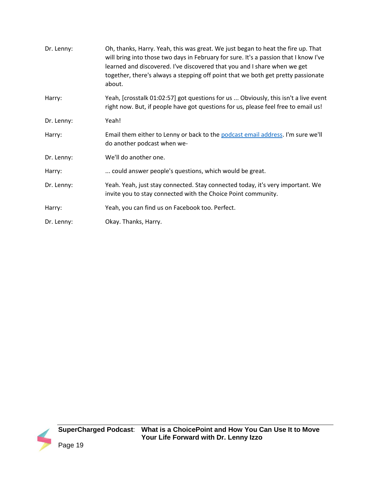| Dr. Lenny: | Oh, thanks, Harry. Yeah, this was great. We just began to heat the fire up. That<br>will bring into those two days in February for sure. It's a passion that I know I've<br>learned and discovered. I've discovered that you and I share when we get<br>together, there's always a stepping off point that we both get pretty passionate<br>about. |
|------------|----------------------------------------------------------------------------------------------------------------------------------------------------------------------------------------------------------------------------------------------------------------------------------------------------------------------------------------------------|
| Harry:     | Yeah, [crosstalk 01:02:57] got questions for us  Obviously, this isn't a live event<br>right now. But, if people have got questions for us, please feel free to email us!                                                                                                                                                                          |
| Dr. Lenny: | Yeah!                                                                                                                                                                                                                                                                                                                                              |
| Harry:     | Email them either to Lenny or back to the podcast email address. I'm sure we'll<br>do another podcast when we-                                                                                                                                                                                                                                     |
| Dr. Lenny: | We'll do another one.                                                                                                                                                                                                                                                                                                                              |
| Harry:     | could answer people's questions, which would be great.                                                                                                                                                                                                                                                                                             |
| Dr. Lenny: | Yeah. Yeah, just stay connected. Stay connected today, it's very important. We<br>invite you to stay connected with the Choice Point community.                                                                                                                                                                                                    |
| Harry:     | Yeah, you can find us on Facebook too. Perfect.                                                                                                                                                                                                                                                                                                    |
| Dr. Lenny: | Okay. Thanks, Harry.                                                                                                                                                                                                                                                                                                                               |